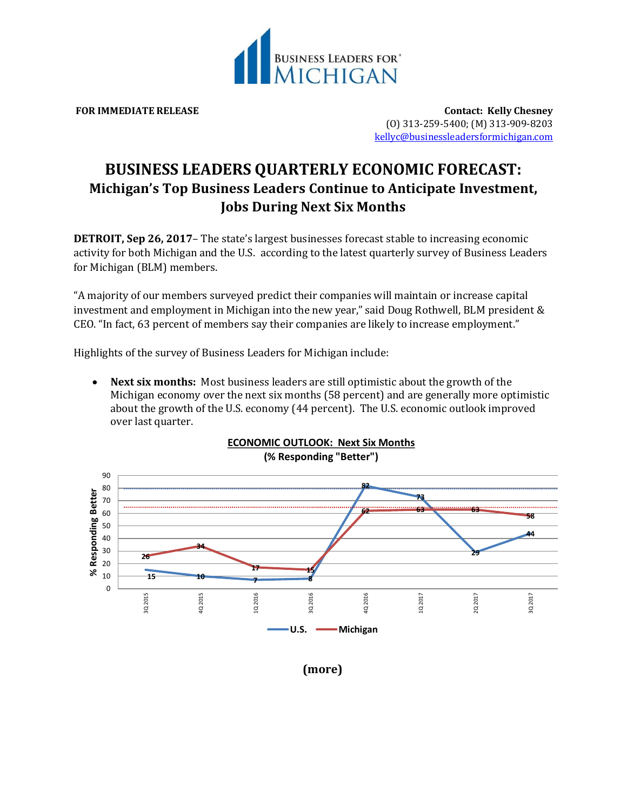

**FOR IMMEDIATE RELEASE Contact: Kelly Chesney** (O) 313-259-5400; (M) 313-909-8203 [kellyc@businessleadersformichigan.com](mailto:kellyc@businessleadersformichigan.com)

## **BUSINESS LEADERS QUARTERLY ECONOMIC FORECAST: Michigan's Top Business Leaders Continue to Anticipate Investment, Jobs During Next Six Months**

**DETROIT, Sep 26, 2017–** The state's largest businesses forecast stable to increasing economic activity for both Michigan and the U.S. according to the latest quarterly survey of Business Leaders for Michigan (BLM) members.

"A majority of our members surveyed predict their companies will maintain or increase capital investment and employment in Michigan into the new year," said Doug Rothwell, BLM president & CEO. "In fact, 63 percent of members say their companies are likely to increase employment."

Highlights of the survey of Business Leaders for Michigan include:

 **Next six months:** Most business leaders are still optimistic about the growth of the Michigan economy over the next six months (58 percent) and are generally more optimistic about the growth of the U.S. economy (44 percent). The U.S. economic outlook improved over last quarter.



**(more)**